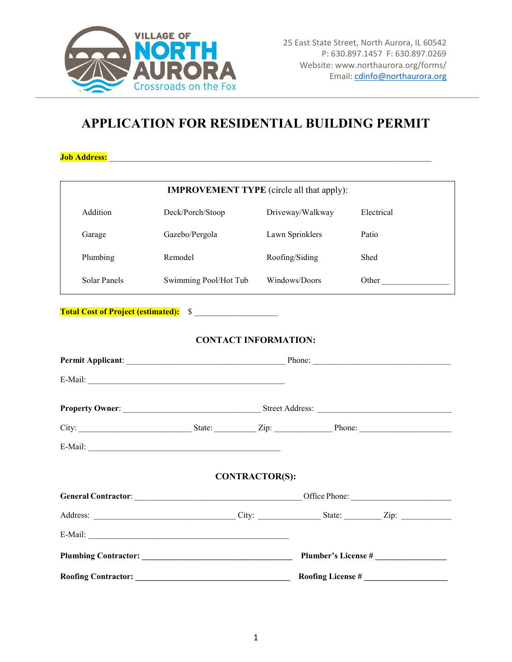

## **APPLICATION FOR RESIDENTIAL BUILDING PERMIT**

**Job Address:** 

| <b>IMPROVEMENT TYPE</b> (circle all that apply): |                                                                                                                 |                          |                            |  |
|--------------------------------------------------|-----------------------------------------------------------------------------------------------------------------|--------------------------|----------------------------|--|
| Addition                                         | Deck/Porch/Stoop                                                                                                | Driveway/Walkway         | Electrical                 |  |
| Garage                                           | Gazebo/Pergola                                                                                                  | Lawn Sprinklers          | Patio                      |  |
| Plumbing                                         | Remodel                                                                                                         | Roofing/Siding           | Shed                       |  |
| Solar Panels                                     | Swimming Pool/Hot Tub                                                                                           | Windows/Doors            | Other                      |  |
| Total Cost of Project (estimated): S             |                                                                                                                 |                          |                            |  |
| <b>CONTACT INFORMATION:</b>                      |                                                                                                                 |                          |                            |  |
|                                                  |                                                                                                                 |                          |                            |  |
|                                                  |                                                                                                                 |                          |                            |  |
|                                                  |                                                                                                                 |                          |                            |  |
|                                                  |                                                                                                                 |                          |                            |  |
|                                                  |                                                                                                                 |                          |                            |  |
| <b>CONTRACTOR(S):</b>                            |                                                                                                                 |                          |                            |  |
|                                                  | General Contractor: Canadian Contractor: Contractor: Contractor: Contractor: Contractor: Contractor: Contractor |                          |                            |  |
|                                                  |                                                                                                                 |                          |                            |  |
|                                                  |                                                                                                                 |                          |                            |  |
|                                                  |                                                                                                                 |                          | <b>Plumber's License #</b> |  |
| <b>Roofing Contractor:</b>                       |                                                                                                                 | <b>Roofing License #</b> |                            |  |